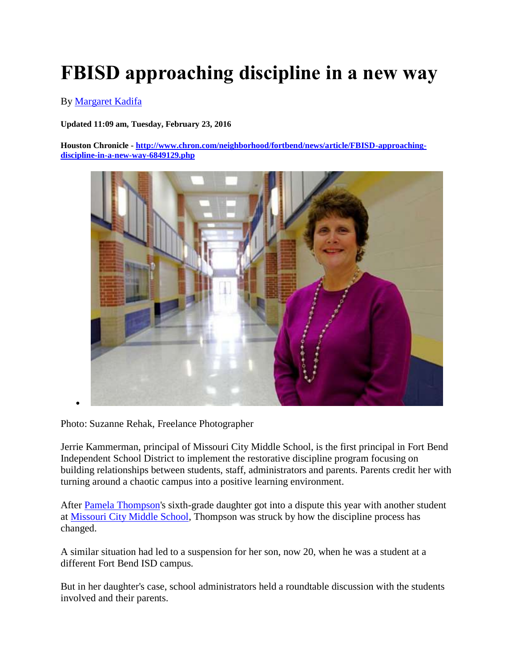## **FBISD approaching discipline in a new way**

By [Margaret Kadifa](http://www.chron.com/author/margaret-kadifa/)

**Updated 11:09 am, Tuesday, February 23, 2016** 

**Houston Chronicle - [http://www.chron.com/neighborhood/fortbend/news/article/FBISD-approaching](http://www.chron.com/neighborhood/fortbend/news/article/FBISD-approaching-discipline-in-a-new-way-6849129.php)[discipline-in-a-new-way-6849129.php](http://www.chron.com/neighborhood/fortbend/news/article/FBISD-approaching-discipline-in-a-new-way-6849129.php)**



Photo: Suzanne Rehak, Freelance Photographer

 $\bullet$ 

Jerrie Kammerman, principal of Missouri City Middle School, is the first principal in Fort Bend Independent School District to implement the restorative discipline program focusing on building relationships between students, staff, administrators and parents. Parents credit her with turning around a chaotic campus into a positive learning environment.

After [Pamela Thompson'](http://www.chron.com/search/?action=search&channel=neighborhood%2Ffortbend%2Fnews&inlineLink=1&searchindex=gsa&query=%22Pamela+Thompson%22)s sixth-grade daughter got into a dispute this year with another student at [Missouri City Middle School,](http://www.chron.com/search/?action=search&channel=neighborhood%2Ffortbend%2Fnews&inlineLink=1&searchindex=gsa&query=%22Missouri+City+Middle+School%22) Thompson was struck by how the discipline process has changed.

A similar situation had led to a suspension for her son, now 20, when he was a student at a different Fort Bend ISD campus.

But in her daughter's case, school administrators held a roundtable discussion with the students involved and their parents.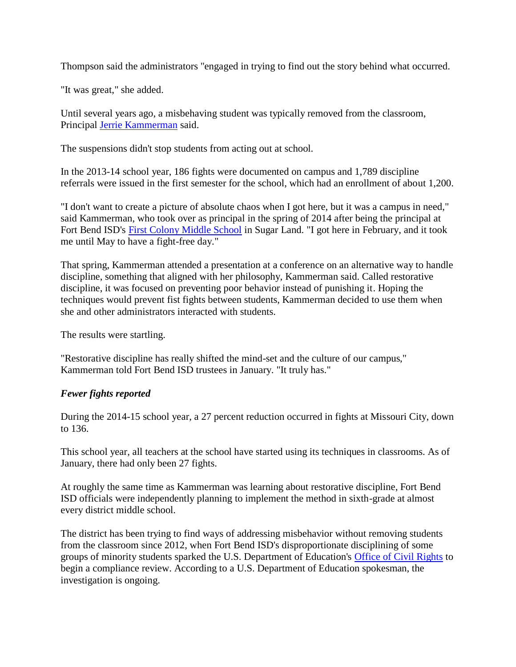Thompson said the administrators "engaged in trying to find out the story behind what occurred.

"It was great," she added.

Until several years ago, a misbehaving student was typically removed from the classroom, Principal [Jerrie Kammerman](http://www.chron.com/search/?action=search&channel=neighborhood%2Ffortbend%2Fnews&inlineLink=1&searchindex=gsa&query=%22Jerrie+Kammerman%22) said.

The suspensions didn't stop students from acting out at school.

In the 2013-14 school year, 186 fights were documented on campus and 1,789 discipline referrals were issued in the first semester for the school, which had an enrollment of about 1,200.

"I don't want to create a picture of absolute chaos when I got here, but it was a campus in need," said Kammerman, who took over as principal in the spring of 2014 after being the principal at Fort Bend ISD's [First Colony Middle School](http://www.chron.com/search/?action=search&channel=neighborhood%2Ffortbend%2Fnews&inlineLink=1&searchindex=gsa&query=%22First+Colony+Middle+School%22) in Sugar Land. "I got here in February, and it took me until May to have a fight-free day."

That spring, Kammerman attended a presentation at a conference on an alternative way to handle discipline, something that aligned with her philosophy, Kammerman said. Called restorative discipline, it was focused on preventing poor behavior instead of punishing it. Hoping the techniques would prevent fist fights between students, Kammerman decided to use them when she and other administrators interacted with students.

The results were startling.

"Restorative discipline has really shifted the mind-set and the culture of our campus," Kammerman told Fort Bend ISD trustees in January. "It truly has."

## *Fewer fights reported*

During the 2014-15 school year, a 27 percent reduction occurred in fights at Missouri City, down to 136.

This school year, all teachers at the school have started using its techniques in classrooms. As of January, there had only been 27 fights.

At roughly the same time as Kammerman was learning about restorative discipline, Fort Bend ISD officials were independently planning to implement the method in sixth-grade at almost every district middle school.

The district has been trying to find ways of addressing misbehavior without removing students from the classroom since 2012, when Fort Bend ISD's disproportionate disciplining of some groups of minority students sparked the U.S. Department of Education's [Office of Civil Rights](http://www.chron.com/search/?action=search&channel=neighborhood%2Ffortbend%2Fnews&inlineLink=1&searchindex=gsa&query=%22Office+of+Civil+Rights%22) to begin a compliance review. According to a U.S. Department of Education spokesman, the investigation is ongoing.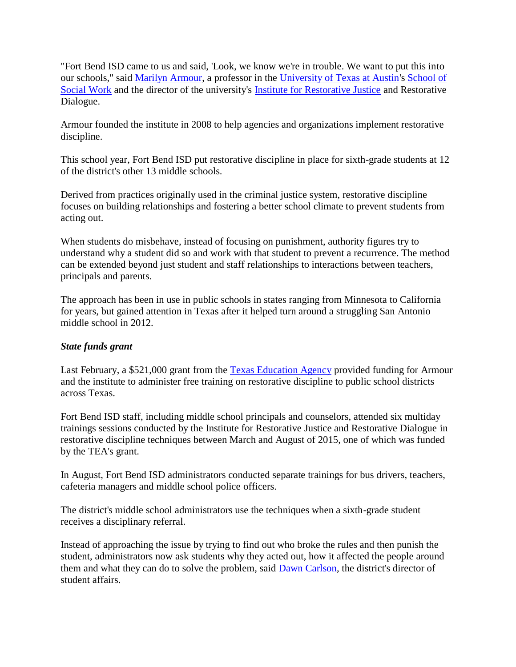"Fort Bend ISD came to us and said, 'Look, we know we're in trouble. We want to put this into our schools," said [Marilyn Armour,](http://www.chron.com/search/?action=search&channel=neighborhood%2Ffortbend%2Fnews&inlineLink=1&searchindex=gsa&query=%22Marilyn+Armour%22) a professor in the [University of Texas at Austin'](http://www.chron.com/search/?action=search&channel=neighborhood%2Ffortbend%2Fnews&inlineLink=1&searchindex=gsa&query=%22University+of+Texas+at+Austin%22)s [School of](http://www.chron.com/search/?action=search&channel=neighborhood%2Ffortbend%2Fnews&inlineLink=1&searchindex=gsa&query=%22School+of+Social+Work%22)  [Social Work](http://www.chron.com/search/?action=search&channel=neighborhood%2Ffortbend%2Fnews&inlineLink=1&searchindex=gsa&query=%22School+of+Social+Work%22) and the director of the university's [Institute for Restorative Justice](http://www.chron.com/search/?action=search&channel=neighborhood%2Ffortbend%2Fnews&inlineLink=1&searchindex=gsa&query=%22Institute+for+Restorative+Justice%22) and Restorative Dialogue.

Armour founded the institute in 2008 to help agencies and organizations implement restorative discipline.

This school year, Fort Bend ISD put restorative discipline in place for sixth-grade students at 12 of the district's other 13 middle schools.

Derived from practices originally used in the criminal justice system, restorative discipline focuses on building relationships and fostering a better school climate to prevent students from acting out.

When students do misbehave, instead of focusing on punishment, authority figures try to understand why a student did so and work with that student to prevent a recurrence. The method can be extended beyond just student and staff relationships to interactions between teachers, principals and parents.

The approach has been in use in public schools in states ranging from Minnesota to California for years, but gained attention in Texas after it helped turn around a struggling San Antonio middle school in 2012.

## *State funds grant*

Last February, a \$521,000 grant from the [Texas Education Agency](http://www.chron.com/search/?action=search&channel=neighborhood%2Ffortbend%2Fnews&inlineLink=1&searchindex=gsa&query=%22Texas+Education+Agency%22) provided funding for Armour and the institute to administer free training on restorative discipline to public school districts across Texas.

Fort Bend ISD staff, including middle school principals and counselors, attended six multiday trainings sessions conducted by the Institute for Restorative Justice and Restorative Dialogue in restorative discipline techniques between March and August of 2015, one of which was funded by the TEA's grant.

In August, Fort Bend ISD administrators conducted separate trainings for bus drivers, teachers, cafeteria managers and middle school police officers.

The district's middle school administrators use the techniques when a sixth-grade student receives a disciplinary referral.

Instead of approaching the issue by trying to find out who broke the rules and then punish the student, administrators now ask students why they acted out, how it affected the people around them and what they can do to solve the problem, said [Dawn Carlson,](http://www.chron.com/search/?action=search&channel=neighborhood%2Ffortbend%2Fnews&inlineLink=1&searchindex=gsa&query=%22Dawn+Carlson%22) the district's director of student affairs.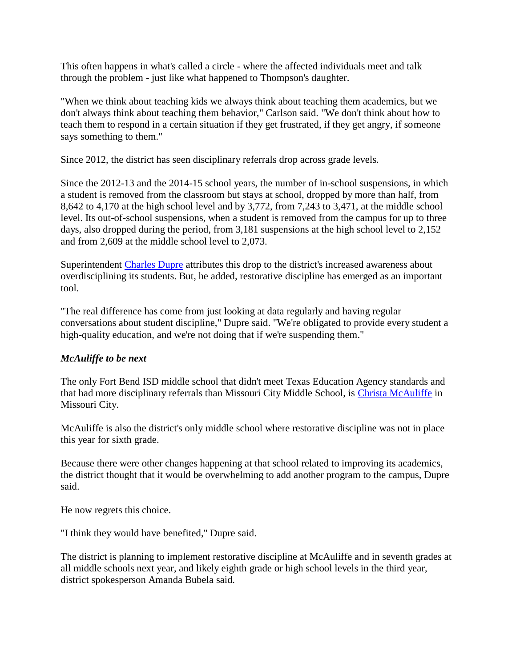This often happens in what's called a circle - where the affected individuals meet and talk through the problem - just like what happened to Thompson's daughter.

"When we think about teaching kids we always think about teaching them academics, but we don't always think about teaching them behavior," Carlson said. "We don't think about how to teach them to respond in a certain situation if they get frustrated, if they get angry, if someone says something to them."

Since 2012, the district has seen disciplinary referrals drop across grade levels.

Since the 2012-13 and the 2014-15 school years, the number of in-school suspensions, in which a student is removed from the classroom but stays at school, dropped by more than half, from 8,642 to 4,170 at the high school level and by 3,772, from 7,243 to 3,471, at the middle school level. Its out-of-school suspensions, when a student is removed from the campus for up to three days, also dropped during the period, from 3,181 suspensions at the high school level to 2,152 and from 2,609 at the middle school level to 2,073.

Superintendent [Charles Dupre](http://www.chron.com/search/?action=search&channel=neighborhood%2Ffortbend%2Fnews&inlineLink=1&searchindex=gsa&query=%22Charles+Dupre%22) attributes this drop to the district's increased awareness about overdisciplining its students. But, he added, restorative discipline has emerged as an important tool.

"The real difference has come from just looking at data regularly and having regular conversations about student discipline," Dupre said. "We're obligated to provide every student a high-quality education, and we're not doing that if we're suspending them."

## *McAuliffe to be next*

The only Fort Bend ISD middle school that didn't meet Texas Education Agency standards and that had more disciplinary referrals than Missouri City Middle School, is [Christa McAuliffe](http://www.chron.com/search/?action=search&channel=neighborhood%2Ffortbend%2Fnews&inlineLink=1&searchindex=gsa&query=%22Christa+McAuliffe%22) in Missouri City.

McAuliffe is also the district's only middle school where restorative discipline was not in place this year for sixth grade.

Because there were other changes happening at that school related to improving its academics, the district thought that it would be overwhelming to add another program to the campus, Dupre said.

He now regrets this choice.

"I think they would have benefited," Dupre said.

The district is planning to implement restorative discipline at McAuliffe and in seventh grades at all middle schools next year, and likely eighth grade or high school levels in the third year, district spokesperson Amanda Bubela said.